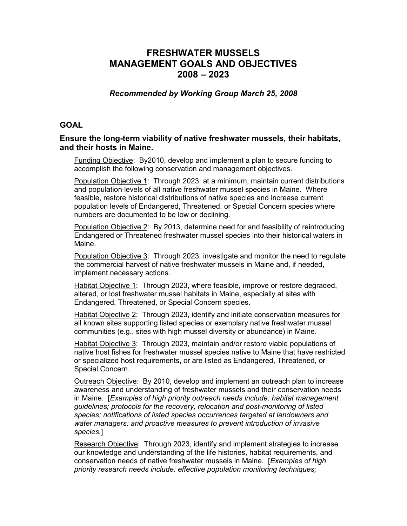## FRESHWATER MUSSELS MANAGEMENT GOALS AND OBJECTIVES 2008 – 2023

Recommended by Working Group March 25, 2008

## **GOAL**

## Ensure the long-term viability of native freshwater mussels, their habitats, and their hosts in Maine.

Funding Objective: By2010, develop and implement a plan to secure funding to accomplish the following conservation and management objectives.

Population Objective 1: Through 2023, at a minimum, maintain current distributions and population levels of all native freshwater mussel species in Maine. Where feasible, restore historical distributions of native species and increase current population levels of Endangered, Threatened, or Special Concern species where numbers are documented to be low or declining.

Population Objective 2: By 2013, determine need for and feasibility of reintroducing Endangered or Threatened freshwater mussel species into their historical waters in Maine.

Population Objective 3: Through 2023, investigate and monitor the need to regulate the commercial harvest of native freshwater mussels in Maine and, if needed, implement necessary actions.

Habitat Objective 1: Through 2023, where feasible, improve or restore degraded, altered, or lost freshwater mussel habitats in Maine, especially at sites with Endangered, Threatened, or Special Concern species.

Habitat Objective 2: Through 2023, identify and initiate conservation measures for all known sites supporting listed species or exemplary native freshwater mussel communities (e.g., sites with high mussel diversity or abundance) in Maine.

Habitat Objective 3: Through 2023, maintain and/or restore viable populations of native host fishes for freshwater mussel species native to Maine that have restricted or specialized host requirements, or are listed as Endangered, Threatened, or Special Concern.

Outreach Objective: By 2010, develop and implement an outreach plan to increase awareness and understanding of freshwater mussels and their conservation needs in Maine. [Examples of high priority outreach needs include: habitat management guidelines; protocols for the recovery, relocation and post-monitoring of listed species; notifications of listed species occurrences targeted at landowners and water managers; and proactive measures to prevent introduction of invasive species.]

Research Objective: Through 2023, identify and implement strategies to increase our knowledge and understanding of the life histories, habitat requirements, and conservation needs of native freshwater mussels in Maine. [Examples of high priority research needs include: effective population monitoring techniques;